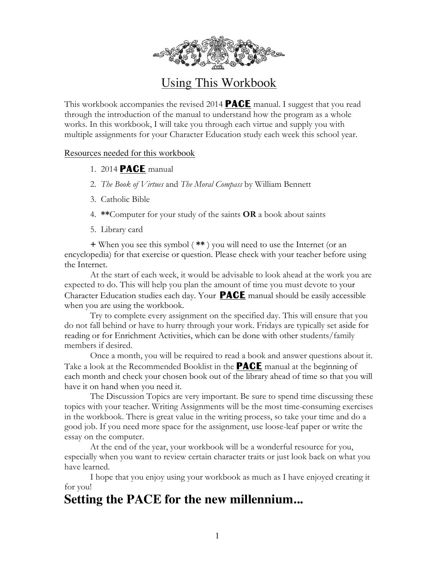

### Using This Workbook

This workbook accompanies the revised 2014 **PACE** manual. I suggest that you read through the introduction of the manual to understand how the program as a whole works. In this workbook, I will take you through each virtue and supply you with multiple assignments for your Character Education study each week this school year.

#### Resources needed for this workbook

- 1. 2014 **PACE** manual
- 2. *The Book of Virtues* and *The Moral Compass* by William Bennett
- 3. Catholic Bible
- 4. **\*\***Computer for your study of the saints **OR** a book about saints
- 5. Library card

**+** When you see this symbol ( **\*\*** ) you will need to use the Internet (or an encyclopedia) for that exercise or question. Please check with your teacher before using the Internet.

At the start of each week, it would be advisable to look ahead at the work you are expected to do. This will help you plan the amount of time you must devote to your Character Education studies each day. Your **PACE** manual should be easily accessible when you are using the workbook.

Try to complete every assignment on the specified day. This will ensure that you do not fall behind or have to hurry through your work. Fridays are typically set aside for reading or for Enrichment Activities, which can be done with other students/family members if desired.

Once a month, you will be required to read a book and answer questions about it. Take a look at the Recommended Booklist in the **PACE** manual at the beginning of each month and check your chosen book out of the library ahead of time so that you will have it on hand when you need it.

The Discussion Topics are very important. Be sure to spend time discussing these topics with your teacher. Writing Assignments will be the most time-consuming exercises in the workbook. There is great value in the writing process, so take your time and do a good job. If you need more space for the assignment, use loose-leaf paper or write the essay on the computer.

At the end of the year, your workbook will be a wonderful resource for you, especially when you want to review certain character traits or just look back on what you have learned.

I hope that you enjoy using your workbook as much as I have enjoyed creating it for you!

### **Setting the PACE for the new millennium...**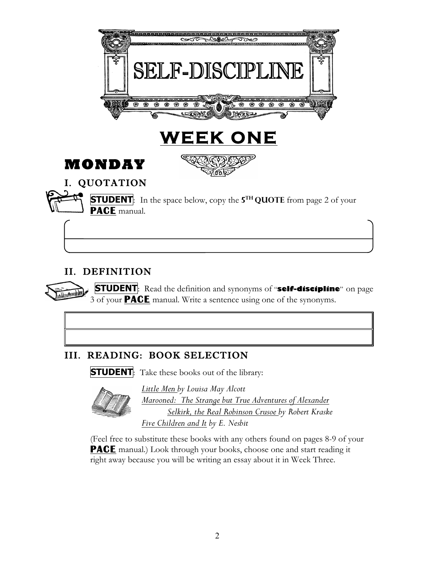

#### II. DEFINITION

 **STUDENT**: Read the definition and synonyms of "**self-discipline**" on page 3 of your **PACE** manual. Write a sentence using one of the synonyms.

### III. READING: BOOK SELECTION

**STUDENT**: Take these books out of the library:



*Little Men by Louisa May Alcott Marooned: The Strange but True Adventures of Alexander Selkirk, the Real Robinson Crusoe by Robert Kraske Five Children and It by E. Nesbit*

(Feel free to substitute these books with any others found on pages 8-9 of your **PACE** manual.) Look through your books, choose one and start reading it right away because you will be writing an essay about it in Week Three.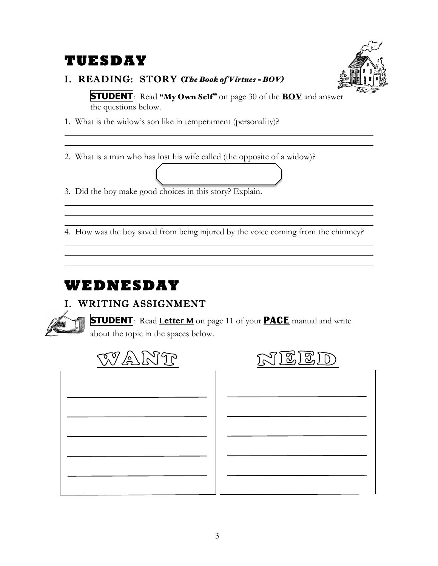## **TUESDAY**



#### I. READING: STORY (*The Book of Virtues = BOV)*

**STUDENT**: Read "My Own Self" on page 30 of the **BOV** and answer the questions below.

1. What is the widow's son like in temperament (personality)?

2. What is a man who has lost his wife called (the opposite of a widow)?

3. Did the boy make good choices in this story? Explain.

4. How was the boy saved from being injured by the voice coming from the chimney?

# **WEDNESDAY**

### I. WRITING ASSIGNMENT



j

**STUDENT**: Read **Letter <sup>M</sup>** on page 11 of your **PACE** manual and write about the topic in the spaces below.

 $\mathbf{1}$ 





| - 1 |  |
|-----|--|
|     |  |